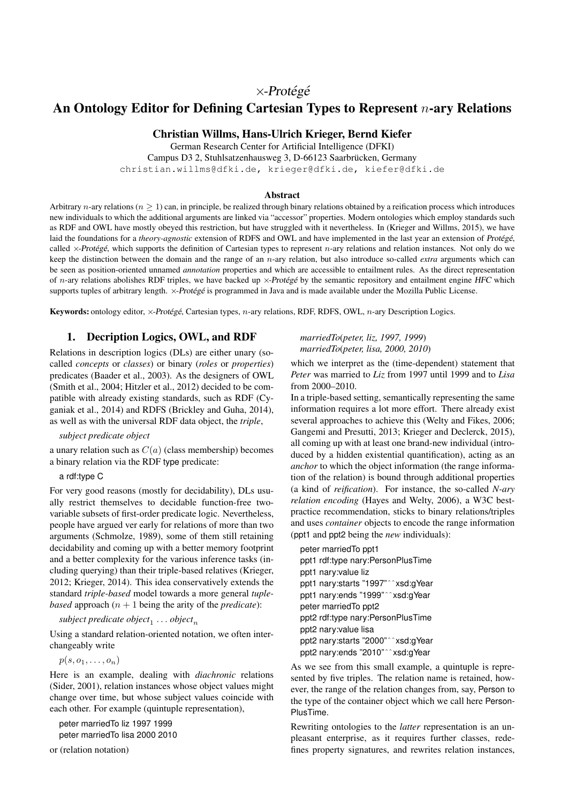# $\times$ -Protégé

# An Ontology Editor for Defining Cartesian Types to Represent n-ary Relations

# Christian Willms, Hans-Ulrich Krieger, Bernd Kiefer

German Research Center for Artificial Intelligence (DFKI) Campus D3 2, Stuhlsatzenhausweg 3, D-66123 Saarbrücken, Germany christian.willms@dfki.de, krieger@dfki.de, kiefer@dfki.de

#### Abstract

Arbitrary n-ary relations ( $n > 1$ ) can, in principle, be realized through binary relations obtained by a reification process which introduces new individuals to which the additional arguments are linked via "accessor" properties. Modern ontologies which employ standards such as RDF and OWL have mostly obeyed this restriction, but have struggled with it nevertheless. In (Krieger and Willms, 2015), we have laid the foundations for a *theory-agnostic* extension of RDFS and OWL and have implemented in the last year an extension of Protégé, called  $\times$ -Protégé, which supports the definition of Cartesian types to represent n-ary relations and relation instances. Not only do we keep the distinction between the domain and the range of an n-ary relation, but also introduce so-called *extra* arguments which can be seen as position-oriented unnamed *annotation* properties and which are accessible to entailment rules. As the direct representation of n-ary relations abolishes RDF triples, we have backed up  $\times$ -Protégé by the semantic repository and entailment engine HFC which supports tuples of arbitrary length.  $\times$ -Protégé is programmed in Java and is made available under the Mozilla Public License.

Keywords: ontology editor, ×-Protégé, Cartesian types, n-ary relations, RDF, RDFS, OWL, n-ary Description Logics.

### 1. Decription Logics, OWL, and RDF

Relations in description logics (DLs) are either unary (socalled *concepts* or *classes*) or binary (*roles* or *properties*) predicates (Baader et al., 2003). As the designers of OWL (Smith et al., 2004; Hitzler et al., 2012) decided to be compatible with already existing standards, such as RDF (Cyganiak et al., 2014) and RDFS (Brickley and Guha, 2014), as well as with the universal RDF data object, the *triple*,

#### *subject predicate object*

a unary relation such as  $C(a)$  (class membership) becomes a binary relation via the RDF type predicate:

#### a rdf:type C

For very good reasons (mostly for decidability), DLs usually restrict themselves to decidable function-free twovariable subsets of first-order predicate logic. Nevertheless, people have argued ver early for relations of more than two arguments (Schmolze, 1989), some of them still retaining decidability and coming up with a better memory footprint and a better complexity for the various inference tasks (including querying) than their triple-based relatives (Krieger, 2012; Krieger, 2014). This idea conservatively extends the standard *triple-based* model towards a more general *tuplebased* approach  $(n + 1)$  being the arity of the *predicate*):

 $\mathit{subject}\: \mathit{predicate}\: \mathit{object}_1 \dots \mathit{object}_n$ 

Using a standard relation-oriented notation, we often interchangeably write

 $p(s, o_1, \ldots, o_n)$ 

Here is an example, dealing with *diachronic* relations (Sider, 2001), relation instances whose object values might change over time, but whose subject values coincide with each other. For example (quintuple representation),

peter marriedTo liz 1997 1999 peter marriedTo lisa 2000 2010

or (relation notation)

*marriedTo*(*peter, liz, 1997, 1999*) *marriedTo*(*peter, lisa, 2000, 2010*)

which we interpret as the (time-dependent) statement that *Peter* was married to *Liz* from 1997 until 1999 and to *Lisa* from 2000–2010.

In a triple-based setting, semantically representing the same information requires a lot more effort. There already exist several approaches to achieve this (Welty and Fikes, 2006; Gangemi and Presutti, 2013; Krieger and Declerck, 2015), all coming up with at least one brand-new individual (introduced by a hidden existential quantification), acting as an *anchor* to which the object information (the range information of the relation) is bound through additional properties (a kind of *reification*). For instance, the so-called *N-ary relation encoding* (Hayes and Welty, 2006), a W3C bestpractice recommendation, sticks to binary relations/triples and uses *container* objects to encode the range information (ppt1 and ppt2 being the *new* individuals):

peter marriedTo ppt1 ppt1 rdf:type nary:PersonPlusTime ppt1 nary:value liz ppt1 nary:starts "1997"ˆˆxsd:gYear ppt1 nary:ends "1999"ˆˆxsd:gYear peter marriedTo ppt2 ppt2 rdf:type nary:PersonPlusTime ppt2 nary:value lisa ppt2 nary:starts "2000"ˆˆxsd:gYear ppt2 nary:ends "2010"ˆˆxsd:gYear

As we see from this small example, a quintuple is represented by five triples. The relation name is retained, however, the range of the relation changes from, say, Person to the type of the container object which we call here Person-PlusTime.

Rewriting ontologies to the *latter* representation is an unpleasant enterprise, as it requires further classes, redefines property signatures, and rewrites relation instances,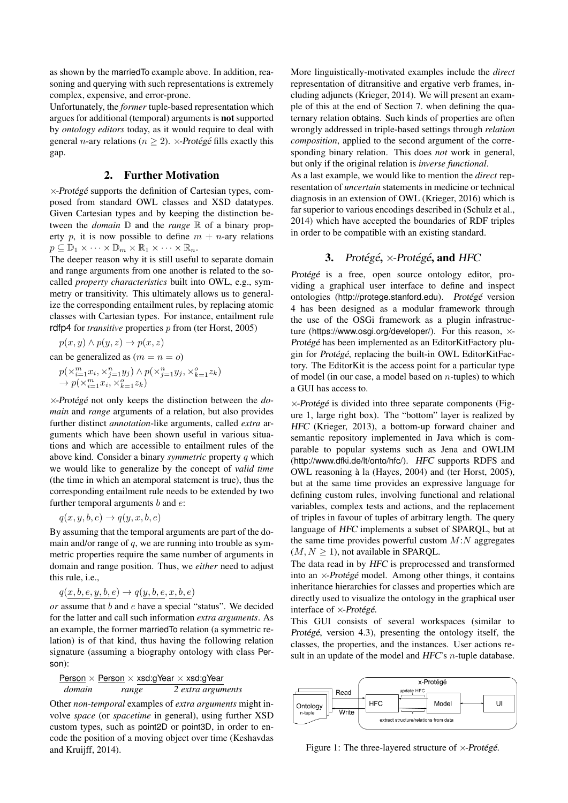as shown by the marriedTo example above. In addition, reasoning and querying with such representations is extremely complex, expensive, and error-prone.

Unfortunately, the *former* tuple-based representation which argues for additional (temporal) arguments is not supported by *ontology editors* today, as it would require to deal with general *n*-ary relations ( $n > 2$ ).  $\times$ -Protégé fills exactly this gap.

### 2. Further Motivation

 $\times$ -Protégé supports the definition of Cartesian types, composed from standard OWL classes and XSD datatypes. Given Cartesian types and by keeping the distinction between the *domain* D and the *range* R of a binary property p, it is now possible to define  $m + n$ -ary relations  $p \subseteq \mathbb{D}_1 \times \cdots \times \mathbb{D}_m \times \mathbb{R}_1 \times \cdots \times \mathbb{R}_n$ .

The deeper reason why it is still useful to separate domain and range arguments from one another is related to the socalled *property characteristics* built into OWL, e.g., symmetry or transitivity. This ultimately allows us to generalize the corresponding entailment rules, by replacing atomic classes with Cartesian types. For instance, entailment rule rdfp4 for *transitive* properties p from (ter Horst, 2005)

 $p(x, y) \wedge p(y, z) \rightarrow p(x, z)$ 

can be generalized as  $(m = n = o)$ 

$$
\begin{array}{l} p(\times_{i=1}^{m}x_i, \times_{j=1}^{n}y_j) \wedge p(\times_{j=1}^{n}y_j, \times_{k=1}^{o}z_k) \\ \rightarrow p(\times_{i=1}^{m}x_i, \times_{k=1}^{o}z_k) \end{array}
$$

 $\times$ -Protégé not only keeps the distinction between the *domain* and *range* arguments of a relation, but also provides further distinct *annotation*-like arguments, called *extra* arguments which have been shown useful in various situations and which are accessible to entailment rules of the above kind. Consider a binary *symmetric* property q which we would like to generalize by the concept of *valid time* (the time in which an atemporal statement is true), thus the corresponding entailment rule needs to be extended by two further temporal arguments  $b$  and  $e$ :

$$
q(x, y, b, e) \rightarrow q(y, x, b, e)
$$

By assuming that the temporal arguments are part of the domain and/or range of  $q$ , we are running into trouble as symmetric properties require the same number of arguments in domain and range position. Thus, we *either* need to adjust this rule, i.e.,

$$
q(x, b, e, y, b, e) \rightarrow q(y, b, e, x, b, e)
$$

*or* assume that b and e have a special "status". We decided for the latter and call such information *extra arguments*. As an example, the former marriedTo relation (a symmetric relation) is of that kind, thus having the following relation signature (assuming a biography ontology with class Person):

Person × Person × xsd:gYear × xsd:gYear *domain range 2 extra arguments*

Other *non-temporal* examples of *extra arguments* might involve *space* (or *spacetime* in general), using further XSD custom types, such as point2D or point3D, in order to encode the position of a moving object over time (Keshavdas and Kruijff, 2014).

More linguistically-motivated examples include the *direct* representation of ditransitive and ergative verb frames, including adjuncts (Krieger, 2014). We will present an example of this at the end of Section 7. when defining the quaternary relation obtains. Such kinds of properties are often wrongly addressed in triple-based settings through *relation composition*, applied to the second argument of the corresponding binary relation. This does *not* work in general, but only if the original relation is *inverse functional*.

As a last example, we would like to mention the *direct* representation of *uncertain* statements in medicine or technical diagnosis in an extension of OWL (Krieger, 2016) which is far superior to various encodings described in (Schulz et al., 2014) which have accepted the boundaries of RDF triples in order to be compatible with an existing standard.

### 3. Protégé,  $\times$ -Protégé, and HFC

Protégé is a free, open source ontology editor, providing a graphical user interface to define and inspect ontologies (http://protege.stanford.edu). Protégé version 4 has been designed as a modular framework through the use of the OSGi framework as a plugin infrastructure (https://www.osgi.org/developer/). For this reason, ×- Protégé has been implemented as an EditorKitFactory plugin for Protégé, replacing the built-in OWL EditorKitFactory. The EditorKit is the access point for a particular type of model (in our case, a model based on  $n$ -tuples) to which a GUI has access to.

 $\times$ -Protégé is divided into three separate components (Figure 1, large right box). The "bottom" layer is realized by HFC (Krieger, 2013), a bottom-up forward chainer and semantic repository implemented in Java which is comparable to popular systems such as Jena and OWLIM (http://www.dfki.de/lt/onto/hfc/). HFC supports RDFS and OWL reasoning à la (Hayes, 2004) and (ter Horst, 2005), but at the same time provides an expressive language for defining custom rules, involving functional and relational variables, complex tests and actions, and the replacement of triples in favour of tuples of arbitrary length. The query language of HFC implements a subset of SPARQL, but at the same time provides powerful custom  $M:N$  aggregates  $(M, N \geq 1)$ , not available in SPARQL.

The data read in by HFC is preprocessed and transformed into an  $\times$ -Protégé model. Among other things, it contains inheritance hierarchies for classes and properties which are directly used to visualize the ontology in the graphical user interface of  $\times$ -Protégé.

This GUI consists of several workspaces (similar to Protégé, version 4.3), presenting the ontology itself, the classes, the properties, and the instances. User actions result in an update of the model and HFC's *n*-tuple database.



Figure 1: The three-layered structure of  $\times$ -Protégé.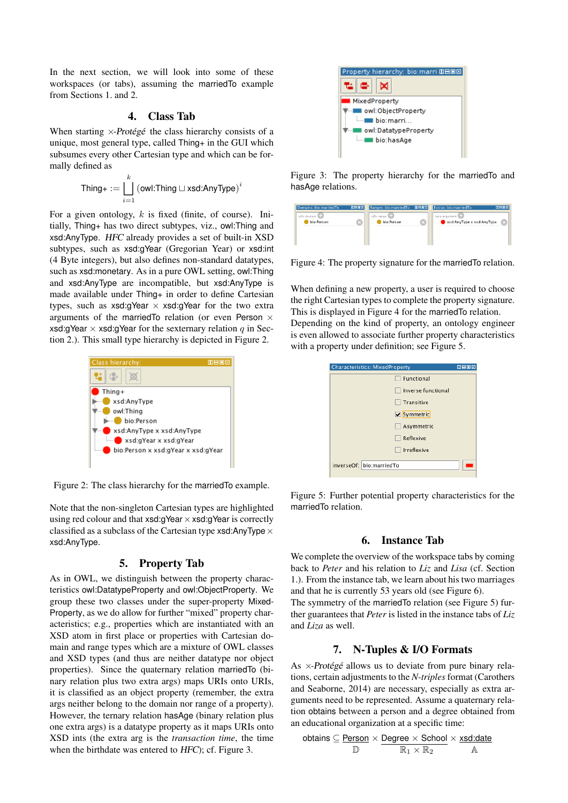In the next section, we will look into some of these workspaces (or tabs), assuming the marriedTo example from Sections 1. and 2.

### 4. Class Tab

When starting  $\times$ -Protégé the class hierarchy consists of a unique, most general type, called Thing+ in the GUI which subsumes every other Cartesian type and which can be formally defined as

$$
\text{Third+} := \bigsqcup_{i=1}^k \left(\text{owl:} \text{Third} \sqcup \text{xsd:} \text{AnyType}\right)^i
$$

For a given ontology,  $k$  is fixed (finite, of course). Initially, Thing+ has two direct subtypes, viz., owl:Thing and xsd:AnyType. HFC already provides a set of built-in XSD subtypes, such as xsd:gYear (Gregorian Year) or xsd:int (4 Byte integers), but also defines non-standard datatypes, such as xsd:monetary. As in a pure OWL setting, owl:Thing and xsd:AnyType are incompatible, but xsd:AnyType is made available under Thing+ in order to define Cartesian types, such as  $xsd:gYear \times xsd:gYear$  for the two extra arguments of the marriedTo relation (or even Person  $\times$ xsd:gYear  $\times$  xsd:gYear for the sexternary relation q in Section 2.). This small type hierarchy is depicted in Figure 2.



Figure 2: The class hierarchy for the marriedTo example.

Note that the non-singleton Cartesian types are highlighted using red colour and that  $xsd:g\text{Year}\times xsd:g\text{Year}$  is correctly classified as a subclass of the Cartesian type  $x$ sd:AnyType  $\times$ xsd:AnyType.

#### 5. Property Tab

As in OWL, we distinguish between the property characteristics owl:DatatypeProperty and owl:ObjectProperty. We group these two classes under the super-property Mixed-Property, as we do allow for further "mixed" property characteristics; e.g., properties which are instantiated with an XSD atom in first place or properties with Cartesian domain and range types which are a mixture of OWL classes and XSD types (and thus are neither datatype nor object properties). Since the quaternary relation marriedTo (binary relation plus two extra args) maps URIs onto URIs, it is classified as an object property (remember, the extra args neither belong to the domain nor range of a property). However, the ternary relation hasAge (binary relation plus one extra args) is a datatype property as it maps URIs onto XSD ints (the extra arg is the *transaction time*, the time when the birthdate was entered to HFC); cf. Figure 3.



Figure 3: The property hierarchy for the marriedTo and hasAge relations.

| Domains: bio:marriedTo | 0808 | Ranges: bio:marriedTo | 0000 | <b>Extras: bio:marriedTo</b> | 0000 |
|------------------------|------|-----------------------|------|------------------------------|------|
| rdfs:domain            |      | rdfs:range            |      | nary:argument                |      |
| bio:Person             |      | bio:Person            |      | xsd:AnyType x xsd:AnyType    |      |
|                        |      |                       |      |                              |      |
|                        |      |                       |      |                              |      |
|                        |      |                       |      |                              |      |

Figure 4: The property signature for the marriedTo relation.

When defining a new property, a user is required to choose the right Cartesian types to complete the property signature. This is displayed in Figure 4 for the marriedTo relation.

Depending on the kind of property, an ontology engineer is even allowed to associate further property characteristics with a property under definition; see Figure 5.

| <b>Characteristics: MixedProperty</b> | 田目回図 |
|---------------------------------------|------|
| <b>Functional</b>                     |      |
| Inverse functional                    |      |
| Transitive                            |      |
| Symmetric                             |      |
| Asymmetric                            |      |
| Reflexive                             |      |
| Irreflexive                           |      |
| inverseOf: bio:marriedTo              |      |
|                                       |      |

Figure 5: Further potential property characteristics for the marriedTo relation.

### 6. Instance Tab

We complete the overview of the workspace tabs by coming back to *Peter* and his relation to *Liz* and *Lisa* (cf. Section 1.). From the instance tab, we learn about his two marriages and that he is currently 53 years old (see Figure 6). The symmetry of the marriedTo relation (see Figure 5) further guarantees that *Peter* is listed in the instance tabs of *Liz* and *Liza* as well.

### 7. N-Tuples & I/O Formats

As  $\times$ -Protégé allows us to deviate from pure binary relations, certain adjustments to the *N-triples* format (Carothers and Seaborne, 2014) are necessary, especially as extra arguments need to be represented. Assume a quaternary relation obtains between a person and a degree obtained from an educational organization at a specific time:

$$
\text{obtains} \subseteq \underline{\text{Person}} \times \underline{\text{Degree}} \times \underline{\text{School}} \times \underline{\text{xsd}:\text{date}}{\mathbb{R}_1 \times \mathbb{R}_2} \times \frac{\text{ack}:\text{date}}{\mathbb{A}}
$$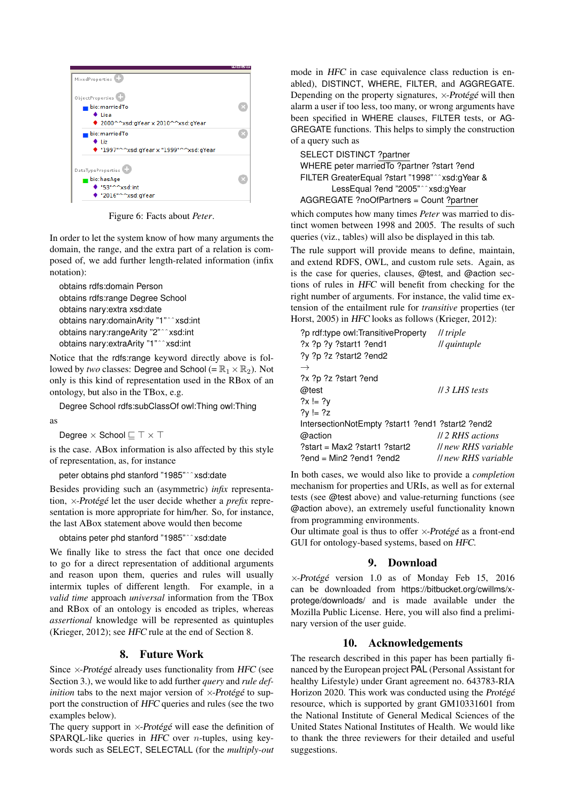

Figure 6: Facts about *Peter*.

In order to let the system know of how many arguments the domain, the range, and the extra part of a relation is composed of, we add further length-related information (infix notation):

```
obtains rdfs:domain Person
obtains rdfs:range Degree School
obtains nary:extra xsd:date
obtains nary:domainArity "1"ˆˆxsd:int
obtains nary:rangeArity "2"ˆˆxsd:int
obtains nary:extraArity "1"ˆˆxsd:int
```
Notice that the rdfs:range keyword directly above is followed by *two* classes: Degree and School (=  $\mathbb{R}_1 \times \mathbb{R}_2$ ). Not only is this kind of representation used in the RBox of an ontology, but also in the TBox, e.g.

Degree School rdfs:subClassOf owl:Thing owl:Thing as

Degree  $\times$  School  $\sqsubseteq \top \times \top$ 

is the case. ABox information is also affected by this style of representation, as, for instance

peter obtains phd stanford "1985"ˆˆxsd:date

Besides providing such an (asymmetric) *infix* representation, x-Protégé let the user decide whether a *prefix* representation is more appropriate for him/her. So, for instance, the last ABox statement above would then become

obtains peter phd stanford "1985"ˆˆxsd:date

We finally like to stress the fact that once one decided to go for a direct representation of additional arguments and reason upon them, queries and rules will usually intermix tuples of different length. For example, in a *valid time* approach *universal* information from the TBox and RBox of an ontology is encoded as triples, whereas *assertional* knowledge will be represented as quintuples (Krieger, 2012); see HFC rule at the end of Section 8.

### 8. Future Work

Since  $\times$ -Protégé already uses functionality from HFC (see Section 3.), we would like to add further *query* and *rule definition* tabs to the next major version of  $\times$ -Protégé to support the construction of HFC queries and rules (see the two examples below).

The query support in  $\times$ -Protégé will ease the definition of SPARQL-like queries in HFC over *n*-tuples, using keywords such as SELECT, SELECTALL (for the *multiply-out* mode in HFC in case equivalence class reduction is enabled), DISTINCT, WHERE, FILTER, and AGGREGATE. Depending on the property signatures,  $\times$ -Protégé will then alarm a user if too less, too many, or wrong arguments have been specified in WHERE clauses, FILTER tests, or AG-GREGATE functions. This helps to simply the construction of a query such as

SELECT DISTINCT ?partner WHERE peter marriedTo ?partner ?start ?end FILTER GreaterEqual ?start "1998"ˆˆxsd:gYear & LessEqual ?end "2005"ˆˆxsd:gYear AGGREGATE ?noOfPartners = Count ?partner

which computes how many times *Peter* was married to distinct women between 1998 and 2005. The results of such queries (viz., tables) will also be displayed in this tab.

The rule support will provide means to define, maintain, and extend RDFS, OWL, and custom rule sets. Again, as is the case for queries, clauses, @test, and @action sections of rules in HFC will benefit from checking for the right number of arguments. For instance, the valid time extension of the entailment rule for *transitive* properties (ter Horst, 2005) in HFC looks as follows (Krieger, 2012):

| ?p rdf:type owl:TransitiveProperty               | // triple                                 |
|--------------------------------------------------|-------------------------------------------|
| ?x ?p ?y ?start1 ?end1                           | // quintuple                              |
| ?y ?p ?z ?start2 ?end2                           |                                           |
| $\rightarrow$                                    |                                           |
| ?x ?p ?z ?start ?end                             |                                           |
| @test                                            | $\frac{\textit{II}}{\textit{3}$ LHS tests |
| $?x = ?y$                                        |                                           |
| $?V = ?Z$                                        |                                           |
| lntersectionNotEmpty ?start1 ?end1 ?start2 ?end2 |                                           |
| @action                                          | //2 RHS actions                           |
| ?start = Max2 ?start1 ?start2                    | <i>Il new RHS variable</i>                |
| $?end = Min2 ?end1 ?end2$                        | <i>ll</i> new RHS variable                |

In both cases, we would also like to provide a *completion* mechanism for properties and URIs, as well as for external tests (see @test above) and value-returning functions (see @action above), an extremely useful functionality known from programming environments.

Our ultimate goal is thus to offer  $\times$ -Protégé as a front-end GUI for ontology-based systems, based on HFC.

# 9. Download

 $\times$ -Protégé version 1.0 as of Monday Feb 15, 2016 can be downloaded from https://bitbucket.org/cwillms/xprotege/downloads/ and is made available under the Mozilla Public License. Here, you will also find a preliminary version of the user guide.

# 10. Acknowledgements

The research described in this paper has been partially financed by the European project PAL (Personal Assistant for healthy Lifestyle) under Grant agreement no. 643783-RIA Horizon 2020. This work was conducted using the Protégé resource, which is supported by grant GM10331601 from the National Institute of General Medical Sciences of the United States National Institutes of Health. We would like to thank the three reviewers for their detailed and useful suggestions.